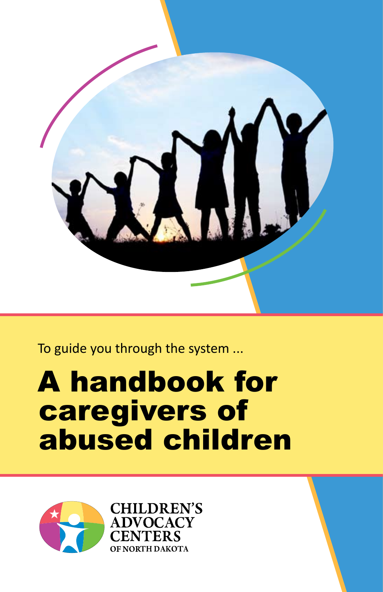

To guide you through the system ...

## A handbook for caregivers of abused children

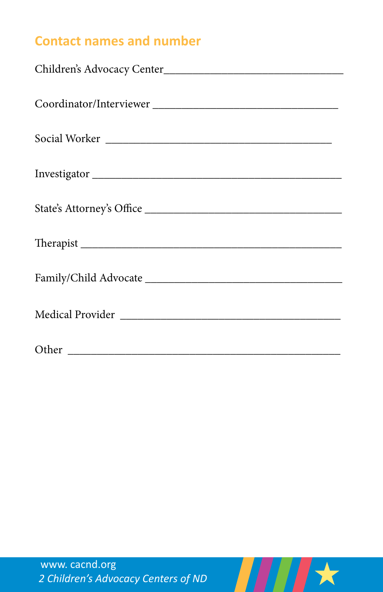## **Contact names and number**

| Social Worker             |  |  |
|---------------------------|--|--|
|                           |  |  |
| Investigator              |  |  |
|                           |  |  |
| State's Attorney's Office |  |  |
|                           |  |  |
|                           |  |  |
|                           |  |  |
|                           |  |  |
|                           |  |  |
|                           |  |  |
|                           |  |  |
|                           |  |  |

 $H$   $\star$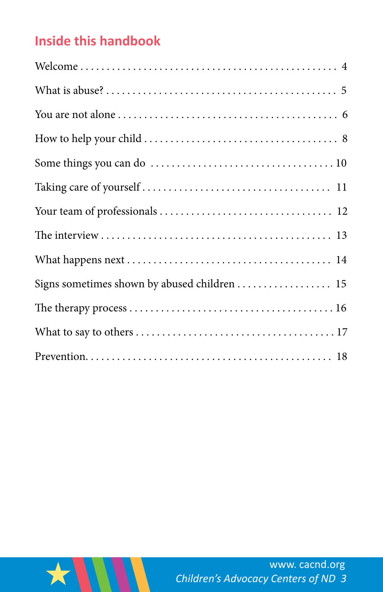## **Inside this handbook**

| Signs sometimes shown by abused children  15 |
|----------------------------------------------|
|                                              |
|                                              |
|                                              |

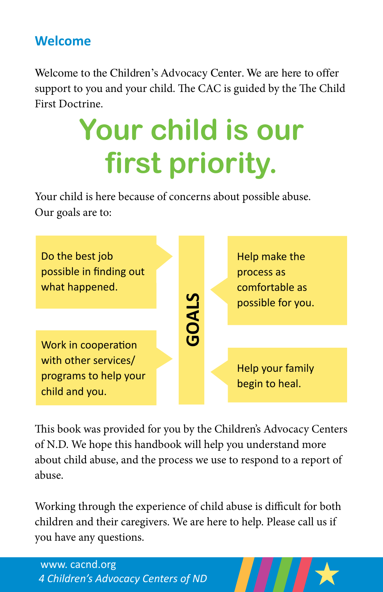#### **Welcome**

Welcome to the Children's Advocacy Center. We are here to offer support to you and your child. The CAC is guided by the The Child First Doctrine.

# **Your child is our first priority.**

Your child is here because of concerns about possible abuse. Our goals are to:



This book was provided for you by the Children's Advocacy Centers of N.D. We hope this handbook will help you understand more about child abuse, and the process we use to respond to a report of abuse.

Working through the experience of child abuse is difficult for both children and their caregivers. We are here to help. Please call us if you have any questions.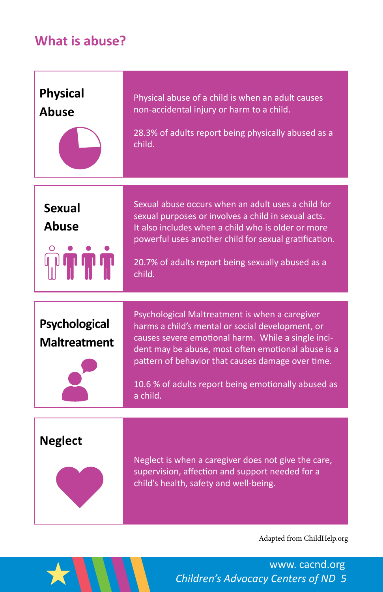#### **What is abuse?**

| <b>Physical</b><br><b>Abuse</b>                    | Physical abuse of a child is when an adult causes<br>non-accidental injury or harm to a child.<br>28.3% of adults report being physically abused as a<br>child.                                                                                                                                                                        |
|----------------------------------------------------|----------------------------------------------------------------------------------------------------------------------------------------------------------------------------------------------------------------------------------------------------------------------------------------------------------------------------------------|
| <b>Sexual</b><br><b>Abuse</b><br><b>ی بل بل با</b> | Sexual abuse occurs when an adult uses a child for<br>sexual purposes or involves a child in sexual acts.<br>It also includes when a child who is older or more<br>powerful uses another child for sexual gratification.<br>20.7% of adults report being sexually abused as a<br>child.                                                |
| <b>Psychological</b><br><b>Maltreatment</b>        | Psychological Maltreatment is when a caregiver<br>harms a child's mental or social development, or<br>causes severe emotional harm. While a single inci-<br>dent may be abuse, most often emotional abuse is a<br>pattern of behavior that causes damage over time.<br>10.6 % of adults report being emotionally abused as<br>a child. |
| <b>Neglect</b>                                     | Neglect is when a caregiver does not give the care,<br>supervision, affection and support needed for a<br>child's health, safety and well-being.                                                                                                                                                                                       |
|                                                    | Adapted from ChildHelp.org                                                                                                                                                                                                                                                                                                             |



*Children's Advocacy Centers of ND 5* www. cacnd.org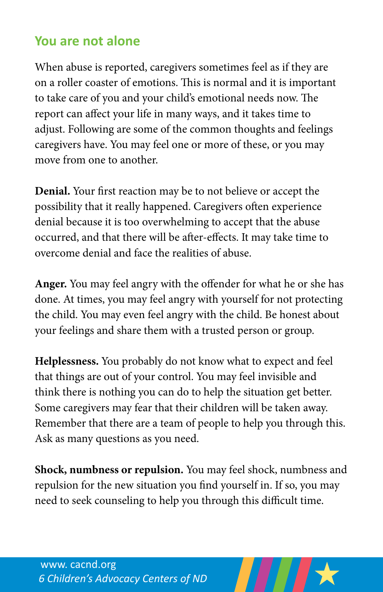#### **You are not alone**

When abuse is reported, caregivers sometimes feel as if they are on a roller coaster of emotions. This is normal and it is important to take care of you and your child's emotional needs now. The report can affect your life in many ways, and it takes time to adjust. Following are some of the common thoughts and feelings caregivers have. You may feel one or more of these, or you may move from one to another.

**Denial.** Your first reaction may be to not believe or accept the possibility that it really happened. Caregivers often experience denial because it is too overwhelming to accept that the abuse occurred, and that there will be after-effects. It may take time to overcome denial and face the realities of abuse.

**Anger.** You may feel angry with the offender for what he or she has done. At times, you may feel angry with yourself for not protecting the child. You may even feel angry with the child. Be honest about your feelings and share them with a trusted person or group.

**Helplessness.** You probably do not know what to expect and feel that things are out of your control. You may feel invisible and think there is nothing you can do to help the situation get better. Some caregivers may fear that their children will be taken away. Remember that there are a team of people to help you through this. Ask as many questions as you need.

**Shock, numbness or repulsion.** You may feel shock, numbness and repulsion for the new situation you find yourself in. If so, you may need to seek counseling to help you through this difficult time.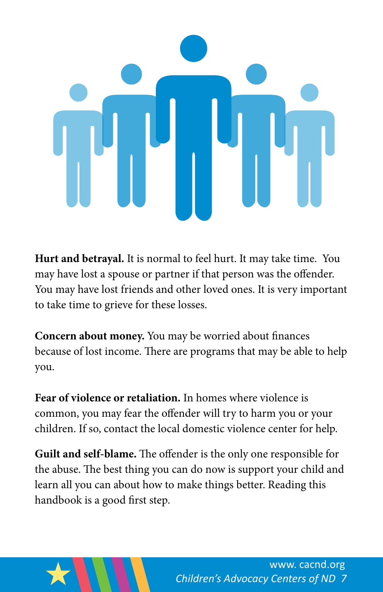

**Hurt and betrayal.** It is normal to feel hurt. It may take time. You may have lost a spouse or partner if that person was the offender. You may have lost friends and other loved ones. It is very important to take time to grieve for these losses.

**Concern about money.** You may be worried about finances because of lost income. There are programs that may be able to help you.

**Fear of violence or retaliation.** In homes where violence is common, you may fear the offender will try to harm you or your children. If so, contact the local domestic violence center for help.

**Guilt and self-blame.** The offender is the only one responsible for the abuse. The best thing you can do now is support your child and learn all you can about how to make things better. Reading this handbook is a good first step.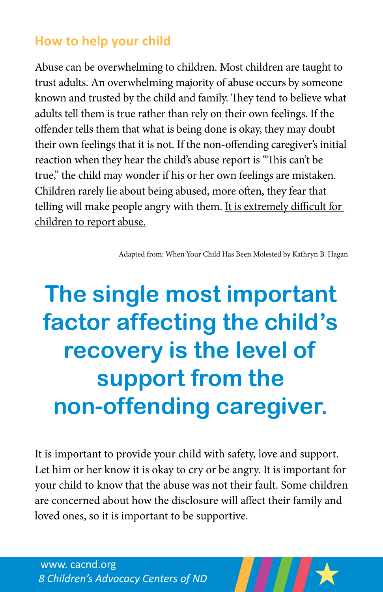#### **How to help your child**

Abuse can be overwhelming to children. Most children are taught to trust adults. An overwhelming majority of abuse occurs by someone known and trusted by the child and family. They tend to believe what adults tell them is true rather than rely on their own feelings. If the offender tells them that what is being done is okay, they may doubt their own feelings that it is not. If the non-offending caregiver's initial reaction when they hear the child's abuse report is "This can't be true," the child may wonder if his or her own feelings are mistaken. Children rarely lie about being abused, more often, they fear that telling will make people angry with them. It is extremely difficult for children to report abuse.

Adapted from: When Your Child Has Been Molested by Kathryn B. Hagan

## **The single most important factor affecting the child's recovery is the level of support from the non-offending caregiver.**

It is important to provide your child with safety, love and support. Let him or her know it is okay to cry or be angry. It is important for your child to know that the abuse was not their fault. Some children are concerned about how the disclosure will affect their family and loved ones, so it is important to be supportive.

*8 Children's Advocacy Centers of ND* www. cacnd.org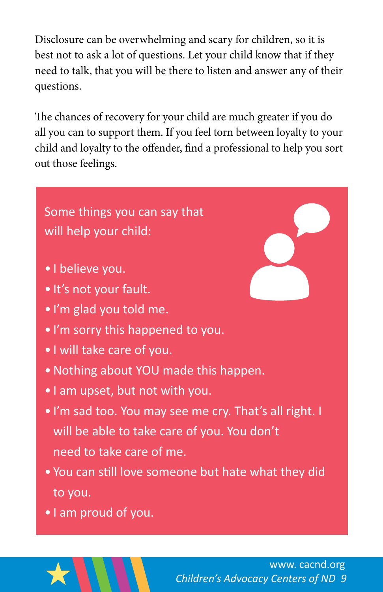Disclosure can be overwhelming and scary for children, so it is best not to ask a lot of questions. Let your child know that if they need to talk, that you will be there to listen and answer any of their questions.

The chances of recovery for your child are much greater if you do all you can to support them. If you feel torn between loyalty to your child and loyalty to the offender, find a professional to help you sort out those feelings.

## Some things you can say that will help your child:

- I believe you.
- It's not your fault.
- I'm glad you told me.
- I'm sorry this happened to you.
- I will take care of you.
- •Nothing about YOU made this happen.
- I am upset, but not with you.
- I'm sad too. You may see me cry. That's all right. I will be able to take care of you. You don't need to take care of me.
- You can still love someone but hate what they did to you.
- I am proud of you.

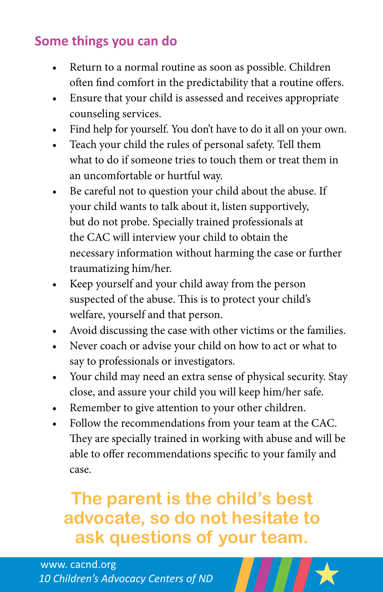## **Some things you can do**

- Return to a normal routine as soon as possible. Children often find comfort in the predictability that a routine offers.
- Ensure that your child is assessed and receives appropriate counseling services.
- Find help for yourself. You don't have to do it all on your own.
- Teach your child the rules of personal safety. Tell them what to do if someone tries to touch them or treat them in an uncomfortable or hurtful way.
- Be careful not to question your child about the abuse. If your child wants to talk about it, listen supportively, but do not probe. Specially trained professionals at the CAC will interview your child to obtain the necessary information without harming the case or further traumatizing him/her.
- • Keep yourself and your child away from the person suspected of the abuse. This is to protect your child's welfare, yourself and that person.
- Avoid discussing the case with other victims or the families.
- Never coach or advise your child on how to act or what to say to professionals or investigators.
- Your child may need an extra sense of physical security. Stay close, and assure your child you will keep him/her safe.
- Remember to give attention to your other children.
- Follow the recommendations from your team at the CAC. They are specially trained in working with abuse and will be able to offer recommendations specific to your family and case.

## **The parent is the child's best advocate, so do not hesitate to ask questions of your team.**

#### *10 Children's Advocacy Centers of ND* www. cacnd.org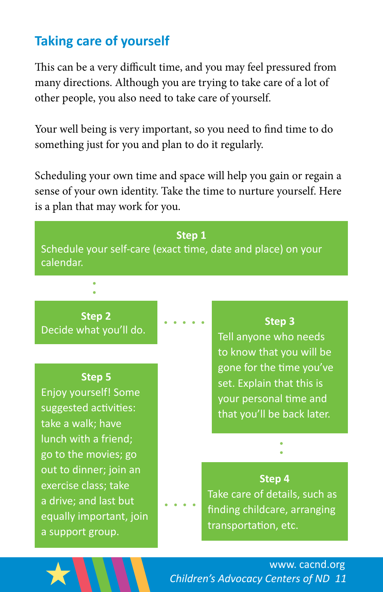## **Taking care of yourself**

This can be a very difficult time, and you may feel pressured from many directions. Although you are trying to take care of a lot of other people, you also need to take care of yourself.

Your well being is very important, so you need to find time to do something just for you and plan to do it regularly.

Scheduling your own time and space will help you gain or regain a sense of your own identity. Take the time to nurture yourself. Here is a plan that may work for you.

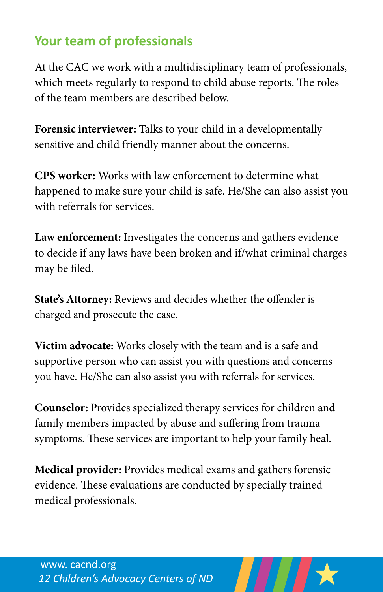## **Your team of professionals**

At the CAC we work with a multidisciplinary team of professionals, which meets regularly to respond to child abuse reports. The roles of the team members are described below.

**Forensic interviewer:** Talks to your child in a developmentally sensitive and child friendly manner about the concerns.

**CPS worker:** Works with law enforcement to determine what happened to make sure your child is safe. He/She can also assist you with referrals for services.

**Law enforcement:** Investigates the concerns and gathers evidence to decide if any laws have been broken and if/what criminal charges may be filed.

**State's Attorney:** Reviews and decides whether the offender is charged and prosecute the case.

**Victim advocate:** Works closely with the team and is a safe and supportive person who can assist you with questions and concerns you have. He/She can also assist you with referrals for services.

**Counselor:** Provides specialized therapy services for children and family members impacted by abuse and suffering from trauma symptoms. These services are important to help your family heal.

**Medical provider:** Provides medical exams and gathers forensic evidence. These evaluations are conducted by specially trained medical professionals.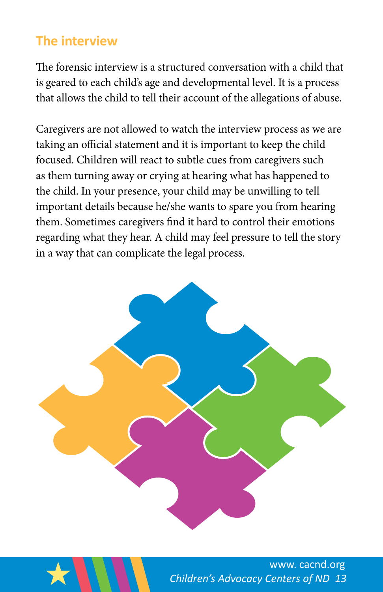## **The interview**

The forensic interview is a structured conversation with a child that is geared to each child's age and developmental level. It is a process that allows the child to tell their account of the allegations of abuse.

Caregivers are not allowed to watch the interview process as we are taking an official statement and it is important to keep the child focused. Children will react to subtle cues from caregivers such as them turning away or crying at hearing what has happened to the child. In your presence, your child may be unwilling to tell important details because he/she wants to spare you from hearing them. Sometimes caregivers find it hard to control their emotions regarding what they hear. A child may feel pressure to tell the story in a way that can complicate the legal process.



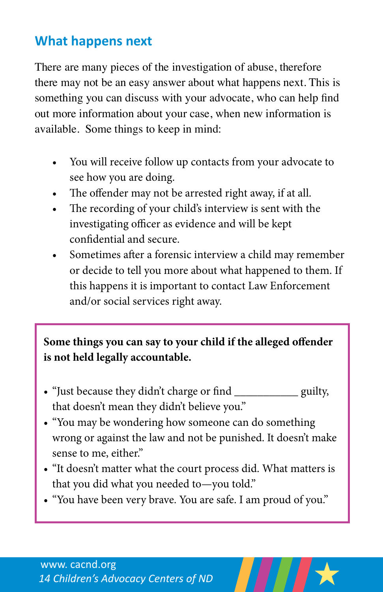## **What happens next**

There are many pieces of the investigation of abuse, therefore there may not be an easy answer about what happens next. This is something you can discuss with your advocate, who can help find out more information about your case, when new information is available. Some things to keep in mind:

- You will receive follow up contacts from your advocate to see how you are doing.
- The offender may not be arrested right away, if at all.
- • The recording of your child's interview is sent with the investigating officer as evidence and will be kept confidential and secure.
- Sometimes after a forensic interview a child may remember or decide to tell you more about what happened to them. If this happens it is important to contact Law Enforcement and/or social services right away.

#### **Some things you can say to your child if the alleged offender is not held legally accountable.**

- "Just because they didn't charge or find guilty, that doesn't mean they didn't believe you."
- • "You may be wondering how someone can do something wrong or against the law and not be punished. It doesn't make sense to me, either."
- • "It doesn't matter what the court process did. What matters is that you did what you needed to—you told."
- "You have been very brave. You are safe. I am proud of you."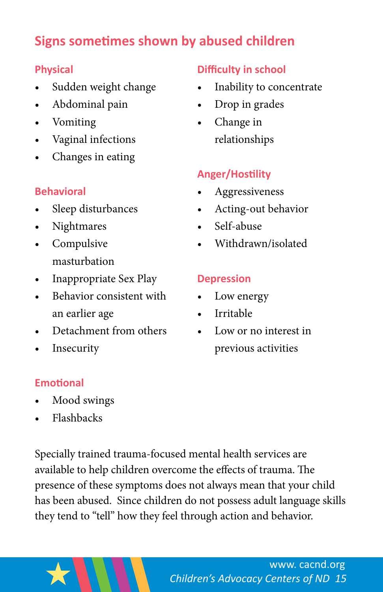## **Signs sometimes shown by abused children**

#### **Physical**

- Sudden weight change
- Abdominal pain
- Vomiting
- Vaginal infections
- Changes in eating

#### **Behavioral**

- Sleep disturbances
- **Nightmares**
- • Compulsive masturbation
- Inappropriate Sex Play
- Behavior consistent with an earlier age
- Detachment from others
- **Insecurity**

#### **Emotional**

- Mood swings
- Flashbacks

Specially trained trauma-focused mental health services are available to help children overcome the effects of trauma. The presence of these symptoms does not always mean that your child has been abused. Since children do not possess adult language skills they tend to "tell" how they feel through action and behavior.

#### **Difficulty in school**

- Inability to concentrate
- Drop in grades
- Change in relationships

#### **Anger/Hostility**

- **Aggressiveness**
- • Acting-out behavior
- Self-abuse
- Withdrawn/isolated

#### **Depression**

- Low energy
- **Irritable**
- Low or no interest in previous activities

*Children's Advocacy Centers of ND 15* www. cacnd.org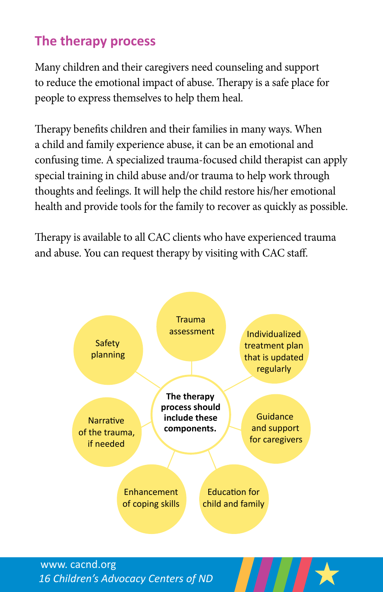## **The therapy process**

Many children and their caregivers need counseling and support to reduce the emotional impact of abuse. Therapy is a safe place for people to express themselves to help them heal.

Therapy benefits children and their families in many ways. When a child and family experience abuse, it can be an emotional and confusing time. A specialized trauma-focused child therapist can apply special training in child abuse and/or trauma to help work through thoughts and feelings. It will help the child restore his/her emotional health and provide tools for the family to recover as quickly as possible.

Therapy is available to all CAC clients who have experienced trauma and abuse. You can request therapy by visiting with CAC staff.

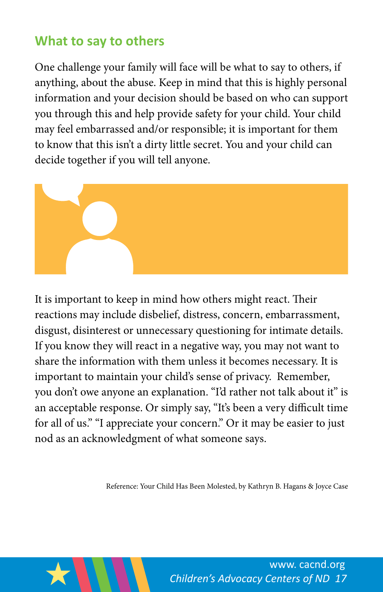### **What to say to others**

One challenge your family will face will be what to say to others, if anything, about the abuse. Keep in mind that this is highly personal information and your decision should be based on who can support you through this and help provide safety for your child. Your child may feel embarrassed and/or responsible; it is important for them to know that this isn't a dirty little secret. You and your child can decide together if you will tell anyone.



It is important to keep in mind how others might react. Their reactions may include disbelief, distress, concern, embarrassment, disgust, disinterest or unnecessary questioning for intimate details. If you know they will react in a negative way, you may not want to share the information with them unless it becomes necessary. It is important to maintain your child's sense of privacy. Remember, you don't owe anyone an explanation. "I'd rather not talk about it" is an acceptable response. Or simply say, "It's been a very difficult time for all of us." "I appreciate your concern." Or it may be easier to just nod as an acknowledgment of what someone says.

Reference: Your Child Has Been Molested, by Kathryn B. Hagans & Joyce Case

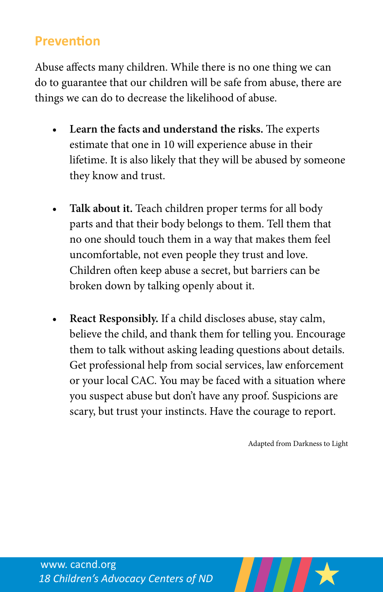#### **Prevention**

Abuse affects many children. While there is no one thing we can do to guarantee that our children will be safe from abuse, there are things we can do to decrease the likelihood of abuse.

- Learn the facts and understand the risks. The experts estimate that one in 10 will experience abuse in their lifetime. It is also likely that they will be abused by someone they know and trust.
- Talk about it. Teach children proper terms for all body parts and that their body belongs to them. Tell them that no one should touch them in a way that makes them feel uncomfortable, not even people they trust and love. Children often keep abuse a secret, but barriers can be broken down by talking openly about it.
- **React Responsibly.** If a child discloses abuse, stay calm, believe the child, and thank them for telling you. Encourage them to talk without asking leading questions about details. Get professional help from social services, law enforcement or your local CAC. You may be faced with a situation where you suspect abuse but don't have any proof. Suspicions are scary, but trust your instincts. Have the courage to report.

Adapted from Darkness to Light

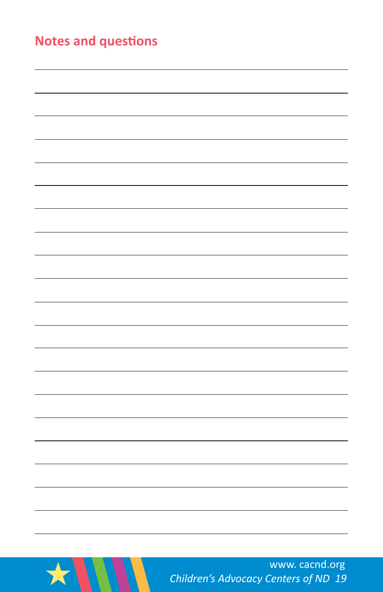| <b>Notes and questions</b> |  |  |
|----------------------------|--|--|
|                            |  |  |
|                            |  |  |
|                            |  |  |
|                            |  |  |
|                            |  |  |
|                            |  |  |
|                            |  |  |
|                            |  |  |
|                            |  |  |
|                            |  |  |
|                            |  |  |
|                            |  |  |
|                            |  |  |
|                            |  |  |
|                            |  |  |
|                            |  |  |
|                            |  |  |
|                            |  |  |
|                            |  |  |
|                            |  |  |